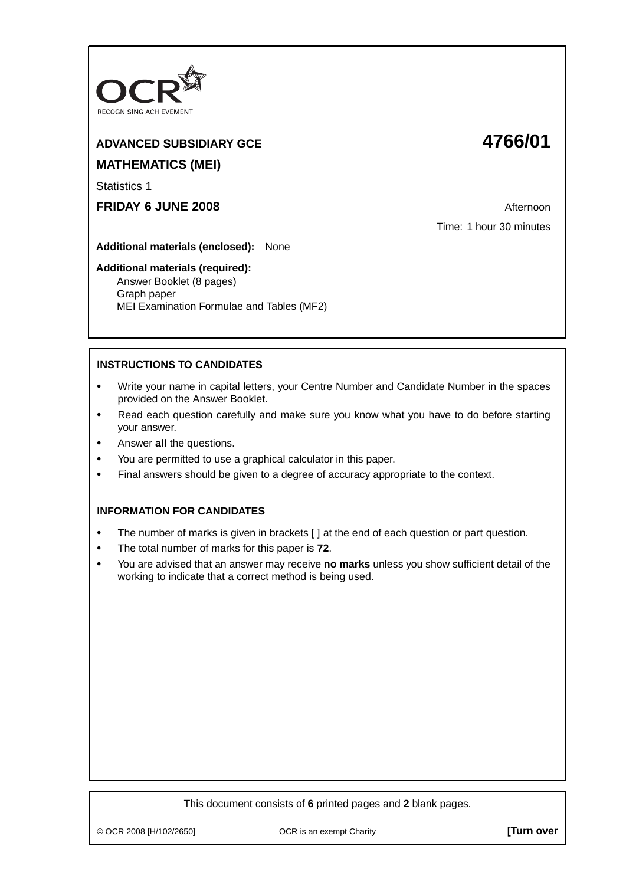

# **ADVANCED SUBSIDIARY GCE 4766/01 MATHEMATICS (MEI)**

Statistics 1

**FRIDAY 6 JUNE 2008 Afternoon** 

Time: 1 hour 30 minutes

## **Additional materials (enclosed):** None

### **Additional materials (required):**

Answer Booklet (8 pages) Graph paper MEI Examination Formulae and Tables (MF2)

## **INSTRUCTIONS TO CANDIDATES**

- **•** Write your name in capital letters, your Centre Number and Candidate Number in the spaces provided on the Answer Booklet.
- **•** Read each question carefully and make sure you know what you have to do before starting your answer.
- **•** Answer **all** the questions.
- **•** You are permitted to use a graphical calculator in this paper.
- **•** Final answers should be given to a degree of accuracy appropriate to the context.

# **INFORMATION FOR CANDIDATES**

- The number of marks is given in brackets [ ] at the end of each question or part question.
- **•** The total number of marks for this paper is **72**.
- **•** You are advised that an answer may receive **no marks** unless you show sufficient detail of the working to indicate that a correct method is being used.

## This document consists of **6** printed pages and **2** blank pages.

© OCR 2008 [H/102/2650] OCR is an exempt Charity **[Turn over**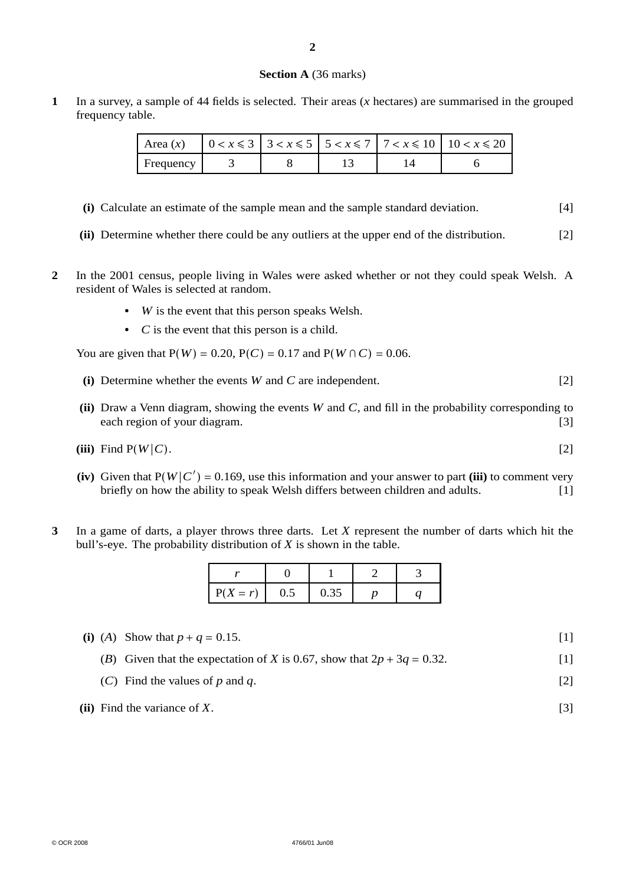#### **Section A** (36 marks)

**1** In a survey, a sample of 44 fields is selected. Their areas (*x* hectares) are summarised in the grouped frequency table.

| Frequency |  |  |  |
|-----------|--|--|--|

- **(i)** Calculate an estimate of the sample mean and the sample standard deviation. [4]
- **(ii)** Determine whether there could be any outliers at the upper end of the distribution. [2]
- **2** In the 2001 census, people living in Wales were asked whether or not they could speak Welsh. A resident of Wales is selected at random.
	- **•** *W* is the event that this person speaks Welsh.
	- **•** *C* is the event that this person is a child.

You are given that  $P(W) = 0.20$ ,  $P(C) = 0.17$  and  $P(W \cap C) = 0.06$ .

- **(i)** Determine whether the events *W* and *C* are independent. [2]
- **(ii)** Draw a Venn diagram, showing the events *W* and *C*, and fill in the probability corresponding to each region of your diagram. [3]

(iii) Find 
$$
P(W|C)
$$
.  $[2]$ 

- **(iv)** Given that  $P(W|C') = 0.169$ , use this information and your answer to part **(iii)** to comment very briefly on how the ability to speak Welsh differs between children and adults. [1]
- **3** In a game of darts, a player throws three darts. Let *X* represent the number of darts which hit the bull's-eye. The probability distribution of *X* is shown in the table.

| $P(X = r)$ | 0.5 | 0.35 |  |  |
|------------|-----|------|--|--|

- (i) (*A*) Show that  $p + q = 0.15$ . [1]
	- (*B*) Given that the expectation of *X* is 0.67, show that  $2p + 3q = 0.32$ . [1]
		- (*C*) Find the values of *p* and *q*. [2]
- **(ii)** Find the variance of *X*. [3]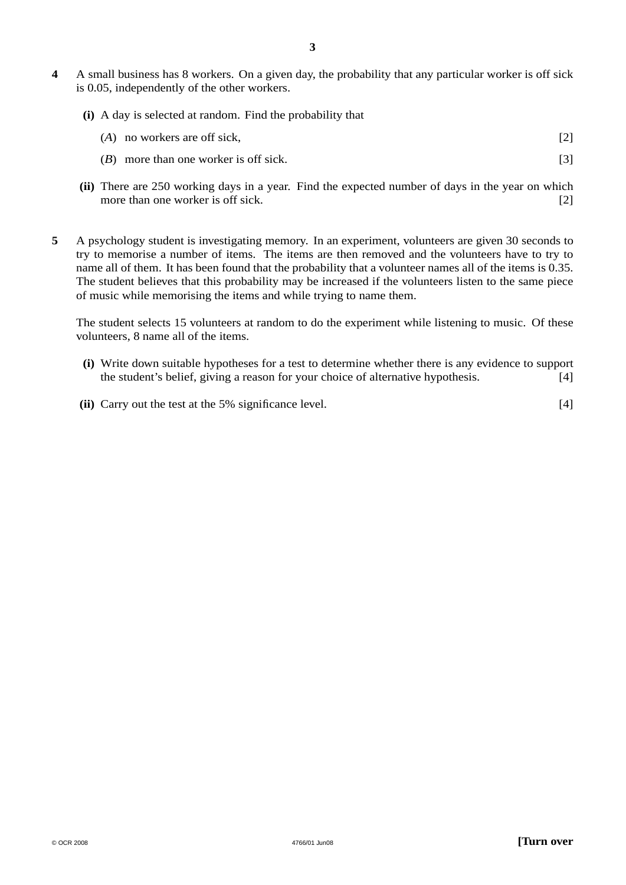- **4** A small business has 8 workers. On a given day, the probability that any particular worker is off sick is 0.05, independently of the other workers.
	- **(i)** A day is selected at random. Find the probability that
		- (*A*) no workers are off sick, [2]
		- (*B*) more than one worker is off sick. [3]
	- **(ii)** There are 250 working days in a year. Find the expected number of days in the year on which more than one worker is off sick. [2]
- **5** A psychology student is investigating memory. In an experiment, volunteers are given 30 seconds to try to memorise a number of items. The items are then removed and the volunteers have to try to name all of them. It has been found that the probability that a volunteer names all of the items is 0.35. The student believes that this probability may be increased if the volunteers listen to the same piece of music while memorising the items and while trying to name them.

The student selects 15 volunteers at random to do the experiment while listening to music. Of these volunteers, 8 name all of the items.

- **(i)** Write down suitable hypotheses for a test to determine whether there is any evidence to support the student's belief, giving a reason for your choice of alternative hypothesis. [4]
- **(ii)** Carry out the test at the 5% significance level. [4]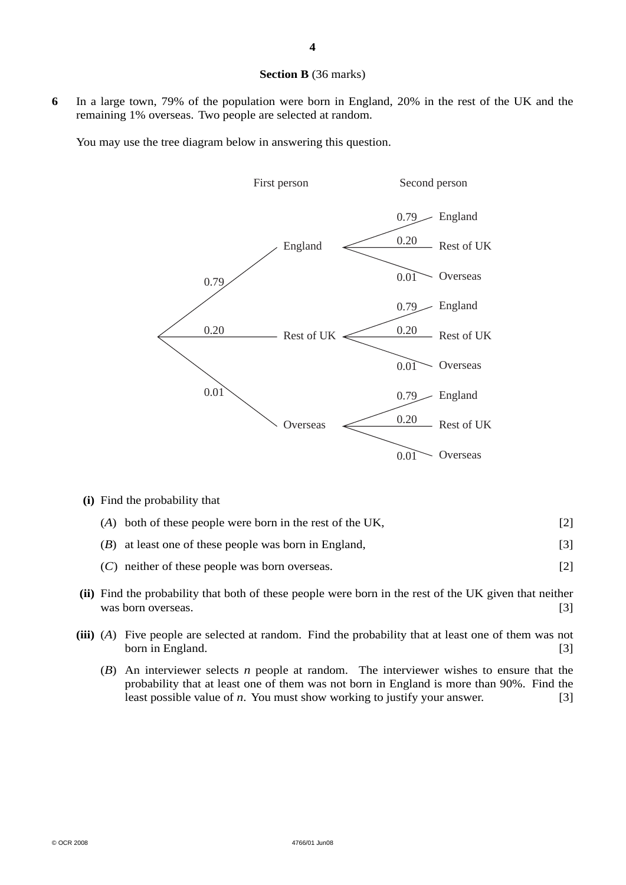#### **Section B** (36 marks)

**6** In a large town, 79% of the population were born in England, 20% in the rest of the UK and the remaining 1% overseas. Two people are selected at random.

You may use the tree diagram below in answering this question.



## **(i)** Find the probability that

| $(A)$ both of these people were born in the rest of the UK, |  |
|-------------------------------------------------------------|--|
|-------------------------------------------------------------|--|

- (*B*) at least one of these people was born in England, [3]
- (*C*) neither of these people was born overseas. [2]
- **(ii)** Find the probability that both of these people were born in the rest of the UK given that neither was born overseas. [3] [3]
- **(iii)** (*A*) Five people are selected at random. Find the probability that at least one of them was not born in England. [3] [3]
	- (*B*) An interviewer selects *n* people at random. The interviewer wishes to ensure that the probability that at least one of them was not born in England is more than 90%. Find the least possible value of *n*. You must show working to justify your answer. [3]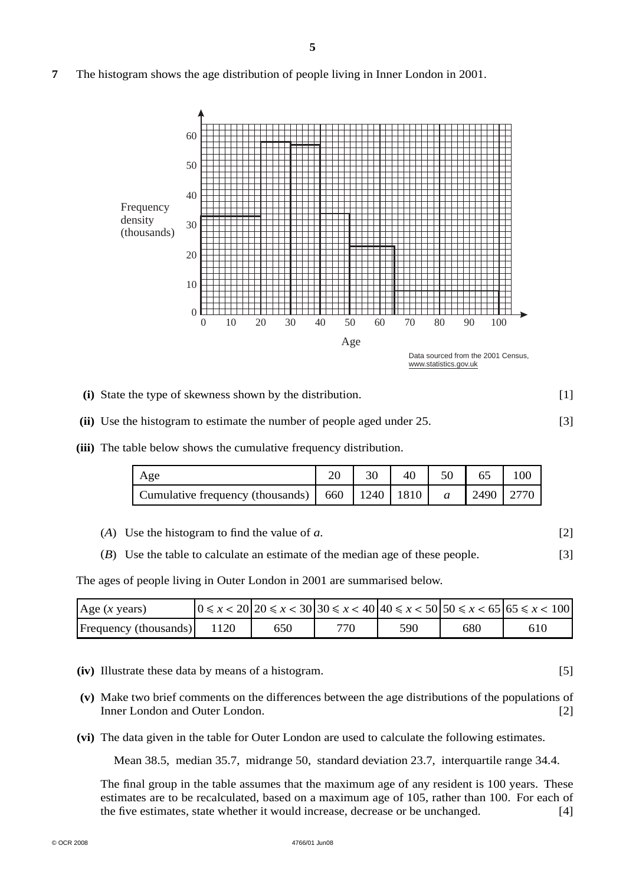**7** The histogram shows the age distribution of people living in Inner London in 2001.



**(i)** State the type of skewness shown by the distribution. [1]

- **(ii)** Use the histogram to estimate the number of people aged under 25. [3]
- **(iii)** The table below shows the cumulative frequency distribution.

| Age                                                  |  | 40 |                |           | 00 |
|------------------------------------------------------|--|----|----------------|-----------|----|
| Cumulative frequency (thousands)   660   1240   1810 |  |    | $\mathfrak{a}$ | 2490 2770 |    |

- (*A*) Use the histogram to find the value of *a*. [2]
- (*B*) Use the table to calculate an estimate of the median age of these people. [3]

The ages of people living in Outer London in 2001 are summarised below.

| Age $(x \text{ years})$ |      |     |     |     |     | $ 0 \le x < 20 20 \le x < 30 30 \le x < 40 40 \le x < 50 50 \le x < 65 65 \le x < 100 $ |
|-------------------------|------|-----|-----|-----|-----|-----------------------------------------------------------------------------------------|
| Frequency (thousands)   | 1120 | 650 | 770 | 590 | 680 | 610                                                                                     |

- **(iv)** Illustrate these data by means of a histogram. [5]
- **(v)** Make two brief comments on the differences between the age distributions of the populations of Inner London and Outer London. [2]
- **(vi)** The data given in the table for Outer London are used to calculate the following estimates.

Mean 38.5, median 35.7, midrange 50, standard deviation 23.7, interquartile range 34.4.

The final group in the table assumes that the maximum age of any resident is 100 years. These estimates are to be recalculated, based on a maximum age of 105, rather than 100. For each of the five estimates, state whether it would increase, decrease or be unchanged. [4]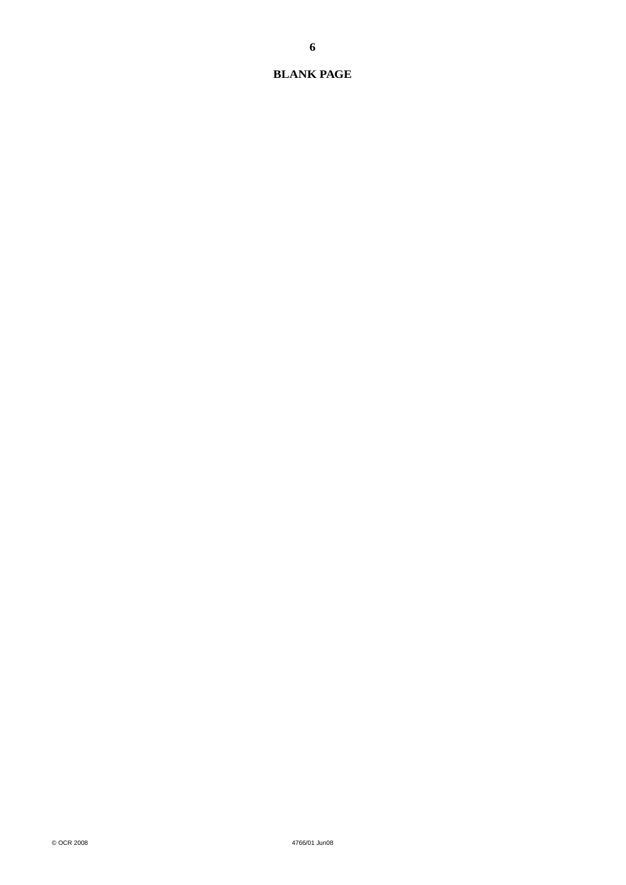# **BLANK PAGE**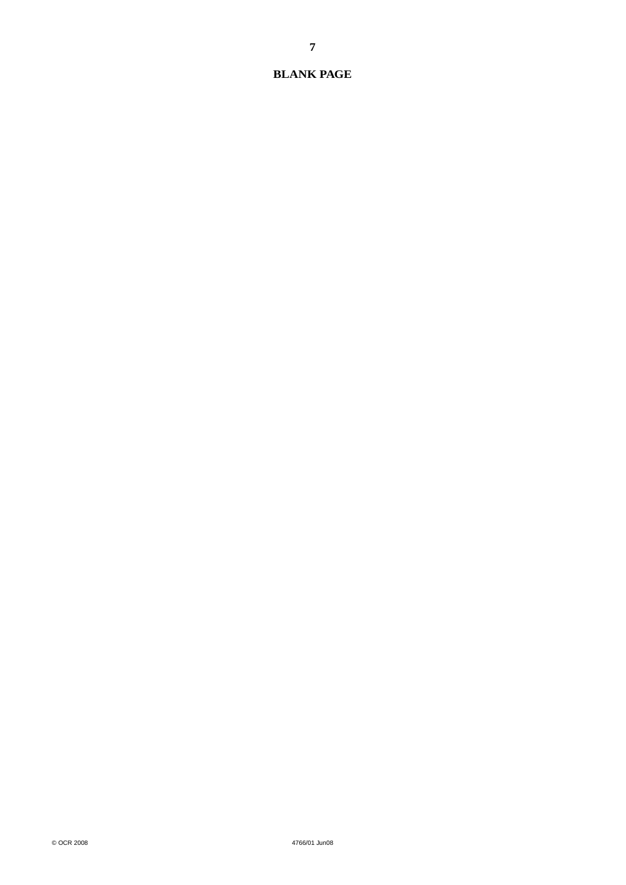# **BLANK PAGE**